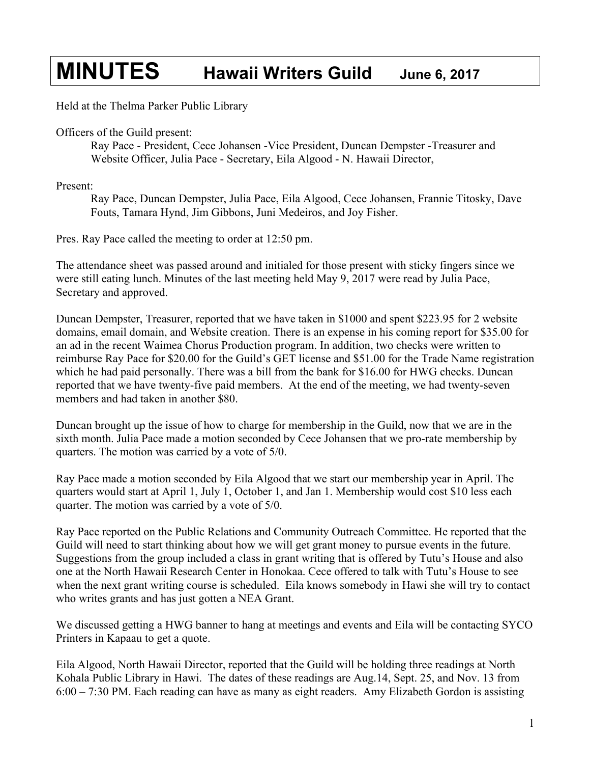## **MINUTES Hawaii Writers Guild June 6, 2017**

Held at the Thelma Parker Public Library

Officers of the Guild present:

Ray Pace - President, Cece Johansen -Vice President, Duncan Dempster -Treasurer and Website Officer, Julia Pace - Secretary, Eila Algood - N. Hawaii Director,

Present:

Ray Pace, Duncan Dempster, Julia Pace, Eila Algood, Cece Johansen, Frannie Titosky, Dave Fouts, Tamara Hynd, Jim Gibbons, Juni Medeiros, and Joy Fisher.

Pres. Ray Pace called the meeting to order at 12:50 pm.

The attendance sheet was passed around and initialed for those present with sticky fingers since we were still eating lunch. Minutes of the last meeting held May 9, 2017 were read by Julia Pace, Secretary and approved.

Duncan Dempster, Treasurer, reported that we have taken in \$1000 and spent \$223.95 for 2 website domains, email domain, and Website creation. There is an expense in his coming report for \$35.00 for an ad in the recent Waimea Chorus Production program. In addition, two checks were written to reimburse Ray Pace for \$20.00 for the Guild's GET license and \$51.00 for the Trade Name registration which he had paid personally. There was a bill from the bank for \$16.00 for HWG checks. Duncan reported that we have twenty-five paid members. At the end of the meeting, we had twenty-seven members and had taken in another \$80.

Duncan brought up the issue of how to charge for membership in the Guild, now that we are in the sixth month. Julia Pace made a motion seconded by Cece Johansen that we pro-rate membership by quarters. The motion was carried by a vote of 5/0.

Ray Pace made a motion seconded by Eila Algood that we start our membership year in April. The quarters would start at April 1, July 1, October 1, and Jan 1. Membership would cost \$10 less each quarter. The motion was carried by a vote of 5/0.

Ray Pace reported on the Public Relations and Community Outreach Committee. He reported that the Guild will need to start thinking about how we will get grant money to pursue events in the future. Suggestions from the group included a class in grant writing that is offered by Tutu's House and also one at the North Hawaii Research Center in Honokaa. Cece offered to talk with Tutu's House to see when the next grant writing course is scheduled. Eila knows somebody in Hawi she will try to contact who writes grants and has just gotten a NEA Grant.

We discussed getting a HWG banner to hang at meetings and events and Eila will be contacting SYCO Printers in Kapaau to get a quote.

Eila Algood, North Hawaii Director, reported that the Guild will be holding three readings at North Kohala Public Library in Hawi. The dates of these readings are Aug.14, Sept. 25, and Nov. 13 from 6:00 – 7:30 PM. Each reading can have as many as eight readers. Amy Elizabeth Gordon is assisting